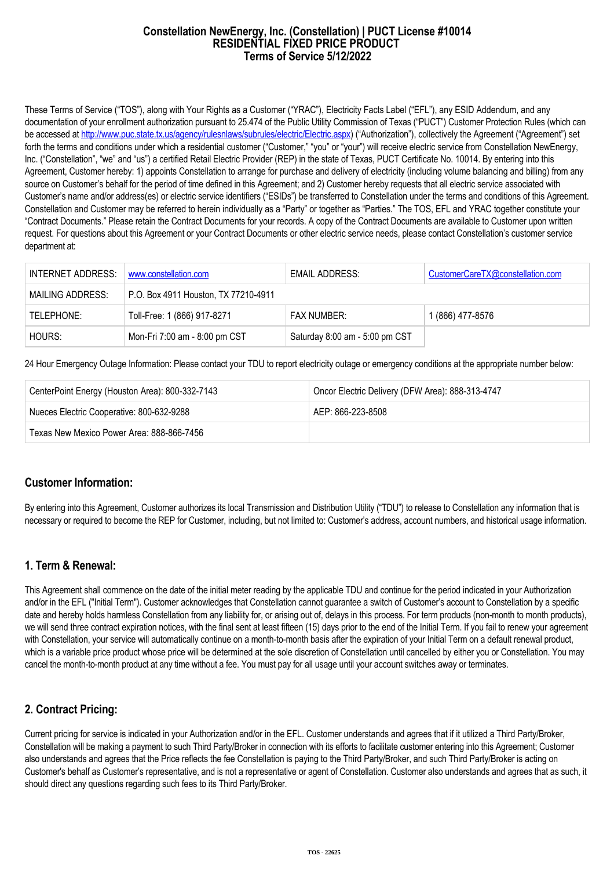#### **Constellation NewEnergy, Inc. (Constellation) | PUCT License #10014 RESIDENTIAL FIXED PRICE PRODUCT Terms of Service 5/12/2022**

These Terms of Service ("TOS"), along with Your Rights as a Customer ("YRAC"), Electricity Facts Label ("EFL"), any ESID Addendum, and any documentation of your enrollment authorization pursuant to 25.474 of the Public Utility Commission of Texas ("PUCT") Customer Protection Rules (which can be accessed at [http://www.puc.state.tx.us/agency/rulesnlaws/subrules/electric/Electric.aspx\)](http://www.puc.state.tx.us/agency/rulesnlaws/subrules/electric/Electric.aspx) ("Authorization"), collectively the Agreement ("Agreement") set forth the terms and conditions under which a residential customer ("Customer," "you" or "your") will receive electric service from Constellation NewEnergy, Inc. ("Constellation", "we" and "us") a certified Retail Electric Provider (REP) in the state of Texas, PUCT Certificate No. 10014. By entering into this Agreement, Customer hereby: 1) appoints Constellation to arrange for purchase and delivery of electricity (including volume balancing and billing) from any source on Customer's behalf for the period of time defined in this Agreement; and 2) Customer hereby requests that all electric service associated with Customer's name and/or address(es) or electric service identifiers ("ESIDs") be transferred to Constellation under the terms and conditions of this Agreement. Constellation and Customer may be referred to herein individually as a "Party" or together as "Parties." The TOS, EFL and YRAC together constitute your "Contract Documents." Please retain the Contract Documents for your records. A copy of the Contract Documents are available to Customer upon written request. For questions about this Agreement or your Contract Documents or other electric service needs, please contact Constellation's customer service department at:

| INTERNET ADDRESS: | www.constellation.com                | EMAIL ADDRESS:                 | CustomerCareTX@constellation.com |
|-------------------|--------------------------------------|--------------------------------|----------------------------------|
| MAILING ADDRESS:  | P.O. Box 4911 Houston, TX 77210-4911 |                                |                                  |
| TELEPHONE:        | Toll-Free: 1 (866) 917-8271          | <b>FAX NUMBER:</b>             | 1 (866) 477-8576                 |
| HOURS:            | Mon-Fri 7:00 am - 8:00 pm CST        | Saturday 8:00 am - 5:00 pm CST |                                  |

24 Hour Emergency Outage Information: Please contact your TDU to report electricity outage or emergency conditions at the appropriate number below:

| CenterPoint Energy (Houston Area): 800-332-7143 | Oncor Electric Delivery (DFW Area): 888-313-4747 |  |
|-------------------------------------------------|--------------------------------------------------|--|
| Nueces Electric Cooperative: 800-632-9288       | AFP: 866-223-8508                                |  |
| Texas New Mexico Power Area: 888-866-7456       |                                                  |  |

### **Customer Information:**

By entering into this Agreement, Customer authorizes its local Transmission and Distribution Utility ("TDU") to release to Constellation any information that is necessary or required to become the REP for Customer, including, but not limited to: Customer's address, account numbers, and historical usage information.

### **1. Term & Renewal:**

This Agreement shall commence on the date of the initial meter reading by the applicable TDU and continue for the period indicated in your Authorization and/or in the EFL ("Initial Term"). Customer acknowledges that Constellation cannot guarantee a switch of Customer's account to Constellation by a specific date and hereby holds harmless Constellation from any liability for, or arising out of, delays in this process. For term products (non-month to month products), we will send three contract expiration notices, with the final sent at least fifteen (15) days prior to the end of the Initial Term. If you fail to renew your agreement with Constellation, your service will automatically continue on a month-to-month basis after the expiration of your Initial Term on a default renewal product, which is a variable price product whose price will be determined at the sole discretion of Constellation until cancelled by either you or Constellation. You may cancel the month-to-month product at any time without a fee. You must pay for all usage until your account switches away or terminates.

# **2. Contract Pricing:**

Current pricing for service is indicated in your Authorization and/or in the EFL. Customer understands and agrees that if it utilized a Third Party/Broker, Constellation will be making a payment to such Third Party/Broker in connection with its efforts to facilitate customer entering into this Agreement; Customer also understands and agrees that the Price reflects the fee Constellation is paying to the Third Party/Broker, and such Third Party/Broker is acting on Customer's behalf as Customer's representative, and is not a representative or agent of Constellation. Customer also understands and agrees that as such, it should direct any questions regarding such fees to its Third Party/Broker.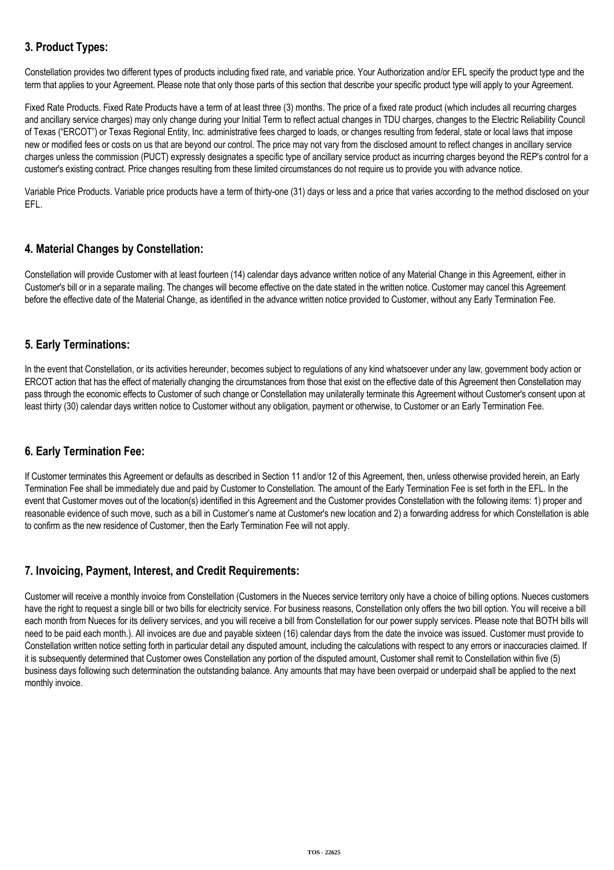# **3. Product Types:**

Constellation provides two different types of products including fixed rate, and variable price. Your Authorization and/or EFL specify the product type and the term that applies to your Agreement. Please note that only those parts of this section that describe your specific product type will apply to your Agreement.

Fixed Rate Products. Fixed Rate Products have a term of at least three (3) months. The price of a fixed rate product (which includes all recurring charges and ancillary service charges) may only change during your Initial Term to reflect actual changes in TDU charges, changes to the Electric Reliability Council of Texas ("ERCOT") or Texas Regional Entity, Inc. administrative fees charged to loads, or changes resulting from federal, state or local laws that impose new or modified fees or costs on us that are beyond our control. The price may not vary from the disclosed amount to reflect changes in ancillary service charges unless the commission (PUCT) expressly designates a specific type of ancillary service product as incurring charges beyond the REP's control for a customer's existing contract. Price changes resulting from these limited circumstances do not require us to provide you with advance notice.

Variable Price Products. Variable price products have a term of thirty-one (31) days or less and a price that varies according to the method disclosed on your EFL.

# **4. Material Changes by Constellation:**

Constellation will provide Customer with at least fourteen (14) calendar days advance written notice of any Material Change in this Agreement, either in Customer's bill or in a separate mailing. The changes will become effective on the date stated in the written notice. Customer may cancel this Agreement before the effective date of the Material Change, as identified in the advance written notice provided to Customer, without any Early Termination Fee.

## **5. Early Terminations:**

In the event that Constellation, or its activities hereunder, becomes subject to regulations of any kind whatsoever under any law, government body action or ERCOT action that has the effect of materially changing the circumstances from those that exist on the effective date of this Agreement then Constellation may pass through the economic effects to Customer of such change or Constellation may unilaterally terminate this Agreement without Customer's consent upon at least thirty (30) calendar days written notice to Customer without any obligation, payment or otherwise, to Customer or an Early Termination Fee.

### **6. Early Termination Fee:**

If Customer terminates this Agreement or defaults as described in Section 11 and/or 12 of this Agreement, then, unless otherwise provided herein, an Early Termination Fee shall be immediately due and paid by Customer to Constellation. The amount of the Early Termination Fee is set forth in the EFL. In the event that Customer moves out of the location(s) identified in this Agreement and the Customer provides Constellation with the following items: 1) proper and reasonable evidence of such move, such as a bill in Customer's name at Customer's new location and 2) a forwarding address for which Constellation is able to confirm as the new residence of Customer, then the Early Termination Fee will not apply.

### **7. Invoicing, Payment, Interest, and Credit Requirements:**

Customer will receive a monthly invoice from Constellation (Customers in the Nueces service territory only have a choice of billing options. Nueces customers have the right to request a single bill or two bills for electricity service. For business reasons, Constellation only offers the two bill option. You will receive a bill each month from Nueces for its delivery services, and you will receive a bill from Constellation for our power supply services. Please note that BOTH bills will need to be paid each month.). All invoices are due and payable sixteen (16) calendar days from the date the invoice was issued. Customer must provide to Constellation written notice setting forth in particular detail any disputed amount, including the calculations with respect to any errors or inaccuracies claimed. If it is subsequently determined that Customer owes Constellation any portion of the disputed amount, Customer shall remit to Constellation within five (5) business days following such determination the outstanding balance. Any amounts that may have been overpaid or underpaid shall be applied to the next monthly invoice.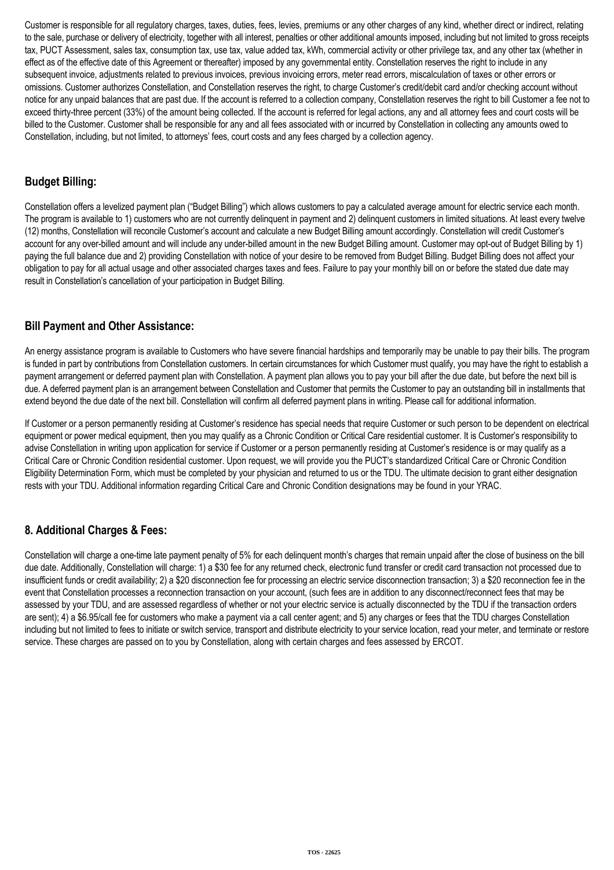Customer is responsible for all regulatory charges, taxes, duties, fees, levies, premiums or any other charges of any kind, whether direct or indirect, relating to the sale, purchase or delivery of electricity, together with all interest, penalties or other additional amounts imposed, including but not limited to gross receipts tax, PUCT Assessment, sales tax, consumption tax, use tax, value added tax, kWh, commercial activity or other privilege tax, and any other tax (whether in effect as of the effective date of this Agreement or thereafter) imposed by any governmental entity. Constellation reserves the right to include in any subsequent invoice, adjustments related to previous invoices, previous invoicing errors, meter read errors, miscalculation of taxes or other errors or omissions. Customer authorizes Constellation, and Constellation reserves the right, to charge Customer's credit/debit card and/or checking account without notice for any unpaid balances that are past due. If the account is referred to a collection company, Constellation reserves the right to bill Customer a fee not to exceed thirty-three percent (33%) of the amount being collected. If the account is referred for legal actions, any and all attorney fees and court costs will be billed to the Customer. Customer shall be responsible for any and all fees associated with or incurred by Constellation in collecting any amounts owed to Constellation, including, but not limited, to attorneys' fees, court costs and any fees charged by a collection agency.

## **Budget Billing:**

Constellation offers a levelized payment plan ("Budget Billing") which allows customers to pay a calculated average amount for electric service each month. The program is available to 1) customers who are not currently delinquent in payment and 2) delinquent customers in limited situations. At least every twelve (12) months, Constellation will reconcile Customer's account and calculate a new Budget Billing amount accordingly. Constellation will credit Customer's account for any over-billed amount and will include any under-billed amount in the new Budget Billing amount. Customer may opt-out of Budget Billing by 1) paying the full balance due and 2) providing Constellation with notice of your desire to be removed from Budget Billing. Budget Billing does not affect your obligation to pay for all actual usage and other associated charges taxes and fees. Failure to pay your monthly bill on or before the stated due date may result in Constellation's cancellation of your participation in Budget Billing.

## **Bill Payment and Other Assistance:**

An energy assistance program is available to Customers who have severe financial hardships and temporarily may be unable to pay their bills. The program is funded in part by contributions from Constellation customers. In certain circumstances for which Customer must qualify, you may have the right to establish a payment arrangement or deferred payment plan with Constellation. A payment plan allows you to pay your bill after the due date, but before the next bill is due. A deferred payment plan is an arrangement between Constellation and Customer that permits the Customer to pay an outstanding bill in installments that extend beyond the due date of the next bill. Constellation will confirm all deferred payment plans in writing. Please call for additional information.

If Customer or a person permanently residing at Customer's residence has special needs that require Customer or such person to be dependent on electrical equipment or power medical equipment, then you may qualify as a Chronic Condition or Critical Care residential customer. It is Customer's responsibility to advise Constellation in writing upon application for service if Customer or a person permanently residing at Customer's residence is or may qualify as a Critical Care or Chronic Condition residential customer. Upon request, we will provide you the PUCT's standardized Critical Care or Chronic Condition Eligibility Determination Form, which must be completed by your physician and returned to us or the TDU. The ultimate decision to grant either designation rests with your TDU. Additional information regarding Critical Care and Chronic Condition designations may be found in your YRAC.

# **8. Additional Charges & Fees:**

Constellation will charge a one-time late payment penalty of 5% for each delinquent month's charges that remain unpaid after the close of business on the bill due date. Additionally, Constellation will charge: 1) a \$30 fee for any returned check, electronic fund transfer or credit card transaction not processed due to insufficient funds or credit availability; 2) a \$20 disconnection fee for processing an electric service disconnection transaction; 3) a \$20 reconnection fee in the event that Constellation processes a reconnection transaction on your account, (such fees are in addition to any disconnect/reconnect fees that may be assessed by your TDU, and are assessed regardless of whether or not your electric service is actually disconnected by the TDU if the transaction orders are sent); 4) a \$6.95/call fee for customers who make a payment via a call center agent; and 5) any charges or fees that the TDU charges Constellation including but not limited to fees to initiate or switch service, transport and distribute electricity to your service location, read your meter, and terminate or restore service. These charges are passed on to you by Constellation, along with certain charges and fees assessed by ERCOT.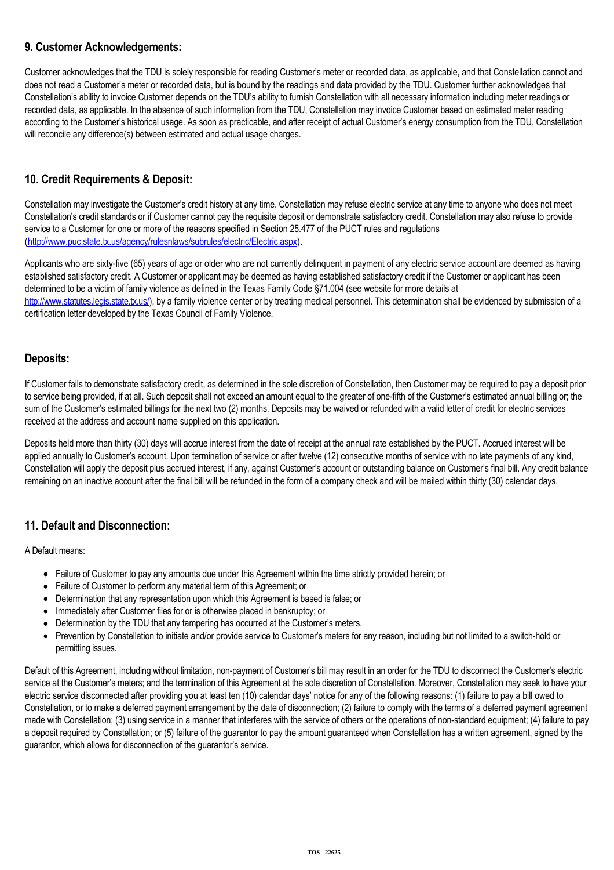## **9. Customer Acknowledgements:**

Customer acknowledges that the TDU is solely responsible for reading Customer's meter or recorded data, as applicable, and that Constellation cannot and does not read a Customer's meter or recorded data, but is bound by the readings and data provided by the TDU. Customer further acknowledges that Constellation's ability to invoice Customer depends on the TDU's ability to furnish Constellation with all necessary information including meter readings or recorded data, as applicable. In the absence of such information from the TDU, Constellation may invoice Customer based on estimated meter reading according to the Customer's historical usage. As soon as practicable, and after receipt of actual Customer's energy consumption from the TDU, Constellation will reconcile any difference(s) between estimated and actual usage charges.

# **10. Credit Requirements & Deposit:**

Constellation may investigate the Customer's credit history at any time. Constellation may refuse electric service at any time to anyone who does not meet Constellation's credit standards or if Customer cannot pay the requisite deposit or demonstrate satisfactory credit. Constellation may also refuse to provide service to a Customer for one or more of the reasons specified in Section 25.477 of the PUCT rules and regulations (<http://www.puc.state.tx.us/agency/rulesnlaws/subrules/electric/Electric.aspx>).

Applicants who are sixty-five (65) years of age or older who are not currently delinquent in payment of any electric service account are deemed as having established satisfactory credit. A Customer or applicant may be deemed as having established satisfactory credit if the Customer or applicant has been determined to be a victim of family violence as defined in the Texas Family Code §71.004 (see website for more details at [http://www.statutes.legis.state.tx.us/\)](http://www.statutes.legis.state.tx.us/), by a family violence center or by treating medical personnel. This determination shall be evidenced by submission of a certification letter developed by the Texas Council of Family Violence.

## **Deposits:**

If Customer fails to demonstrate satisfactory credit, as determined in the sole discretion of Constellation, then Customer may be required to pay a deposit prior to service being provided, if at all. Such deposit shall not exceed an amount equal to the greater of one-fifth of the Customer's estimated annual billing or; the sum of the Customer's estimated billings for the next two (2) months. Deposits may be waived or refunded with a valid letter of credit for electric services received at the address and account name supplied on this application.

Deposits held more than thirty (30) days will accrue interest from the date of receipt at the annual rate established by the PUCT. Accrued interest will be applied annually to Customer's account. Upon termination of service or after twelve (12) consecutive months of service with no late payments of any kind, Constellation will apply the deposit plus accrued interest, if any, against Customer's account or outstanding balance on Customer's final bill. Any credit balance remaining on an inactive account after the final bill will be refunded in the form of a company check and will be mailed within thirty (30) calendar days.

# **11. Default and Disconnection:**

A Default means:

- Failure of Customer to pay any amounts due under this Agreement within the time strictly provided herein; or
- Failure of Customer to perform any material term of this Agreement; or
- Determination that any representation upon which this Agreement is based is false; or
- Immediately after Customer files for or is otherwise placed in bankruptcy; or
- Determination by the TDU that any tampering has occurred at the Customer's meters.
- Prevention by Constellation to initiate and/or provide service to Customer's meters for any reason, including but not limited to a switch-hold or permitting issues.

Default of this Agreement, including without limitation, non-payment of Customer's bill may result in an order for the TDU to disconnect the Customer's electric service at the Customer's meters; and the termination of this Agreement at the sole discretion of Constellation. Moreover, Constellation may seek to have your electric service disconnected after providing you at least ten (10) calendar days' notice for any of the following reasons: (1) failure to pay a bill owed to Constellation, or to make a deferred payment arrangement by the date of disconnection; (2) failure to comply with the terms of a deferred payment agreement made with Constellation; (3) using service in a manner that interferes with the service of others or the operations of non-standard equipment; (4) failure to pay a deposit required by Constellation; or (5) failure of the guarantor to pay the amount guaranteed when Constellation has a written agreement, signed by the guarantor, which allows for disconnection of the guarantor's service.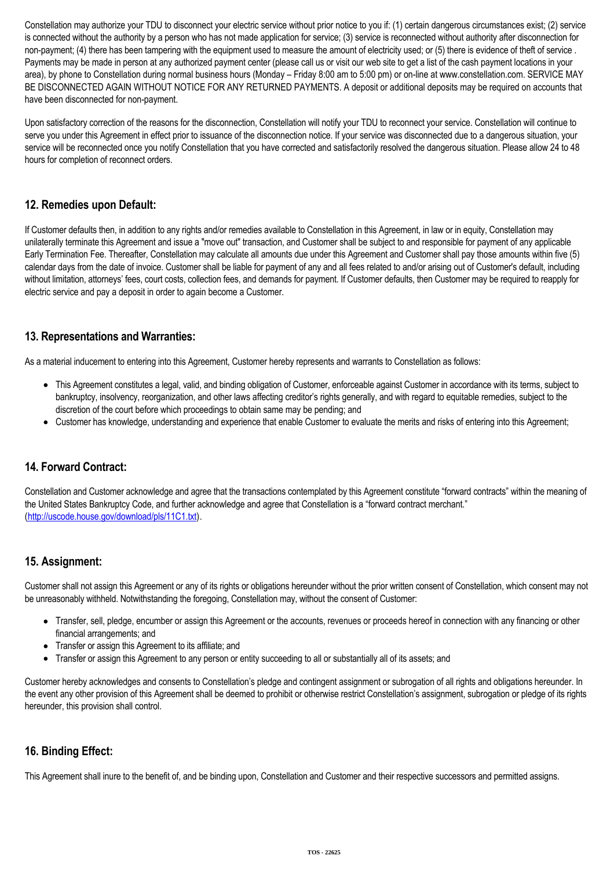Constellation may authorize your TDU to disconnect your electric service without prior notice to you if: (1) certain dangerous circumstances exist; (2) service is connected without the authority by a person who has not made application for service; (3) service is reconnected without authority after disconnection for non-payment; (4) there has been tampering with the equipment used to measure the amount of electricity used; or (5) there is evidence of theft of service. Payments may be made in person at any authorized payment center (please call us or visit our web site to get a list of the cash payment locations in your area), by phone to Constellation during normal business hours (Monday – Friday 8:00 am to 5:00 pm) or on-line at www.constellation.com. SERVICE MAY BE DISCONNECTED AGAIN WITHOUT NOTICE FOR ANY RETURNED PAYMENTS. A deposit or additional deposits may be required on accounts that have been disconnected for non-payment.

Upon satisfactory correction of the reasons for the disconnection, Constellation will notify your TDU to reconnect your service. Constellation will continue to serve you under this Agreement in effect prior to issuance of the disconnection notice. If your service was disconnected due to a dangerous situation, your service will be reconnected once you notify Constellation that you have corrected and satisfactorily resolved the dangerous situation. Please allow 24 to 48 hours for completion of reconnect orders.

## **12. Remedies upon Default:**

If Customer defaults then, in addition to any rights and/or remedies available to Constellation in this Agreement, in law or in equity, Constellation may unilaterally terminate this Agreement and issue a "move out" transaction, and Customer shall be subject to and responsible for payment of any applicable Early Termination Fee. Thereafter, Constellation may calculate all amounts due under this Agreement and Customer shall pay those amounts within five (5) calendar days from the date of invoice. Customer shall be liable for payment of any and all fees related to and/or arising out of Customer's default, including without limitation, attorneys' fees, court costs, collection fees, and demands for payment. If Customer defaults, then Customer may be required to reapply for electric service and pay a deposit in order to again become a Customer.

## **13. Representations and Warranties:**

As a material inducement to entering into this Agreement, Customer hereby represents and warrants to Constellation as follows:

- This Agreement constitutes a legal, valid, and binding obligation of Customer, enforceable against Customer in accordance with its terms, subject to bankruptcy, insolvency, reorganization, and other laws affecting creditor's rights generally, and with regard to equitable remedies, subject to the discretion of the court before which proceedings to obtain same may be pending; and
- Customer has knowledge, understanding and experience that enable Customer to evaluate the merits and risks of entering into this Agreement;

# **14. Forward Contract:**

Constellation and Customer acknowledge and agree that the transactions contemplated by this Agreement constitute "forward contracts" within the meaning of the United States Bankruptcy Code, and further acknowledge and agree that Constellation is a "forward contract merchant." (<http://uscode.house.gov/download/pls/11C1.txt>).

### **15. Assignment:**

Customer shall not assign this Agreement or any of its rights or obligations hereunder without the prior written consent of Constellation, which consent may not be unreasonably withheld. Notwithstanding the foregoing, Constellation may, without the consent of Customer:

- Transfer, sell, pledge, encumber or assign this Agreement or the accounts, revenues or proceeds hereof in connection with any financing or other financial arrangements; and
- Transfer or assign this Agreement to its affiliate; and
- Transfer or assign this Agreement to any person or entity succeeding to all or substantially all of its assets; and

Customer hereby acknowledges and consents to Constellation's pledge and contingent assignment or subrogation of all rights and obligations hereunder. In the event any other provision of this Agreement shall be deemed to prohibit or otherwise restrict Constellation's assignment, subrogation or pledge of its rights hereunder, this provision shall control.

### **16. Binding Effect:**

This Agreement shall inure to the benefit of, and be binding upon, Constellation and Customer and their respective successors and permitted assigns.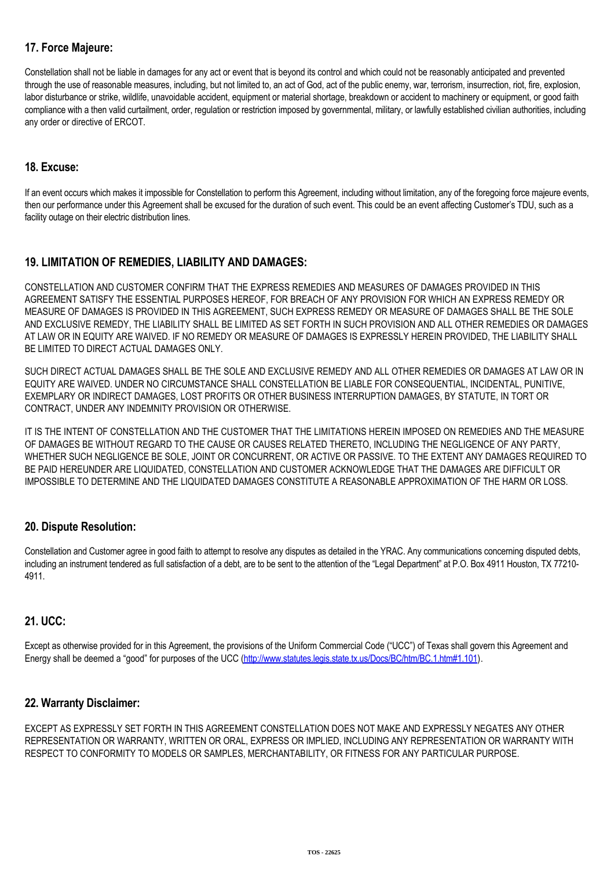# **17. Force Majeure:**

Constellation shall not be liable in damages for any act or event that is beyond its control and which could not be reasonably anticipated and prevented through the use of reasonable measures, including, but not limited to, an act of God, act of the public enemy, war, terrorism, insurrection, riot, fire, explosion, labor disturbance or strike, wildlife, unavoidable accident, equipment or material shortage, breakdown or accident to machinery or equipment, or good faith compliance with a then valid curtailment, order, regulation or restriction imposed by governmental, military, or lawfully established civilian authorities, including any order or directive of ERCOT.

## **18. Excuse:**

If an event occurs which makes it impossible for Constellation to perform this Agreement, including without limitation, any of the foregoing force majeure events, then our performance under this Agreement shall be excused for the duration of such event. This could be an event affecting Customer's TDU, such as a facility outage on their electric distribution lines.

# **19. LIMITATION OF REMEDIES, LIABILITY AND DAMAGES:**

CONSTELLATION AND CUSTOMER CONFIRM THAT THE EXPRESS REMEDIES AND MEASURES OF DAMAGES PROVIDED IN THIS AGREEMENT SATISFY THE ESSENTIAL PURPOSES HEREOF, FOR BREACH OF ANY PROVISION FOR WHICH AN EXPRESS REMEDY OR MEASURE OF DAMAGES IS PROVIDED IN THIS AGREEMENT, SUCH EXPRESS REMEDY OR MEASURE OF DAMAGES SHALL BE THE SOLE AND EXCLUSIVE REMEDY, THE LIABILITY SHALL BE LIMITED AS SET FORTH IN SUCH PROVISION AND ALL OTHER REMEDIES OR DAMAGES AT LAW OR IN EQUITY ARE WAIVED. IF NO REMEDY OR MEASURE OF DAMAGES IS EXPRESSLY HEREIN PROVIDED, THE LIABILITY SHALL BE LIMITED TO DIRECT ACTUAL DAMAGES ONLY.

SUCH DIRECT ACTUAL DAMAGES SHALL BE THE SOLE AND EXCLUSIVE REMEDY AND ALL OTHER REMEDIES OR DAMAGES AT LAW OR IN EQUITY ARE WAIVED. UNDER NO CIRCUMSTANCE SHALL CONSTELLATION BE LIABLE FOR CONSEQUENTIAL, INCIDENTAL, PUNITIVE, EXEMPLARY OR INDIRECT DAMAGES, LOST PROFITS OR OTHER BUSINESS INTERRUPTION DAMAGES, BY STATUTE, IN TORT OR CONTRACT, UNDER ANY INDEMNITY PROVISION OR OTHERWISE.

IT IS THE INTENT OF CONSTELLATION AND THE CUSTOMER THAT THE LIMITATIONS HEREIN IMPOSED ON REMEDIES AND THE MEASURE OF DAMAGES BE WITHOUT REGARD TO THE CAUSE OR CAUSES RELATED THERETO, INCLUDING THE NEGLIGENCE OF ANY PARTY, WHETHER SUCH NEGLIGENCE BE SOLE, JOINT OR CONCURRENT, OR ACTIVE OR PASSIVE. TO THE EXTENT ANY DAMAGES REQUIRED TO BE PAID HEREUNDER ARE LIQUIDATED, CONSTELLATION AND CUSTOMER ACKNOWLEDGE THAT THE DAMAGES ARE DIFFICULT OR IMPOSSIBLE TO DETERMINE AND THE LIQUIDATED DAMAGES CONSTITUTE A REASONABLE APPROXIMATION OF THE HARM OR LOSS.

### **20. Dispute Resolution:**

Constellation and Customer agree in good faith to attempt to resolve any disputes as detailed in the YRAC. Any communications concerning disputed debts, including an instrument tendered as full satisfaction of a debt, are to be sent to the attention of the "Legal Department" at P.O. Box 4911 Houston, TX 77210-4911.

### **21. UCC:**

Except as otherwise provided for in this Agreement, the provisions of the Uniform Commercial Code ("UCC") of Texas shall govern this Agreement and Energy shall be deemed a "good" for purposes of the UCC [\(http://www.statutes.legis.state.tx.us/Docs/BC/htm/BC.1.htm#1.101\)](http://www.statutes.legis.state.tx.us/Docs/BC/htm/BC.1.htm#1.101).

### **22. Warranty Disclaimer:**

EXCEPT AS EXPRESSLY SET FORTH IN THIS AGREEMENT CONSTELLATION DOES NOT MAKE AND EXPRESSLY NEGATES ANY OTHER REPRESENTATION OR WARRANTY, WRITTEN OR ORAL, EXPRESS OR IMPLIED, INCLUDING ANY REPRESENTATION OR WARRANTY WITH RESPECT TO CONFORMITY TO MODELS OR SAMPLES, MERCHANTABILITY, OR FITNESS FOR ANY PARTICULAR PURPOSE.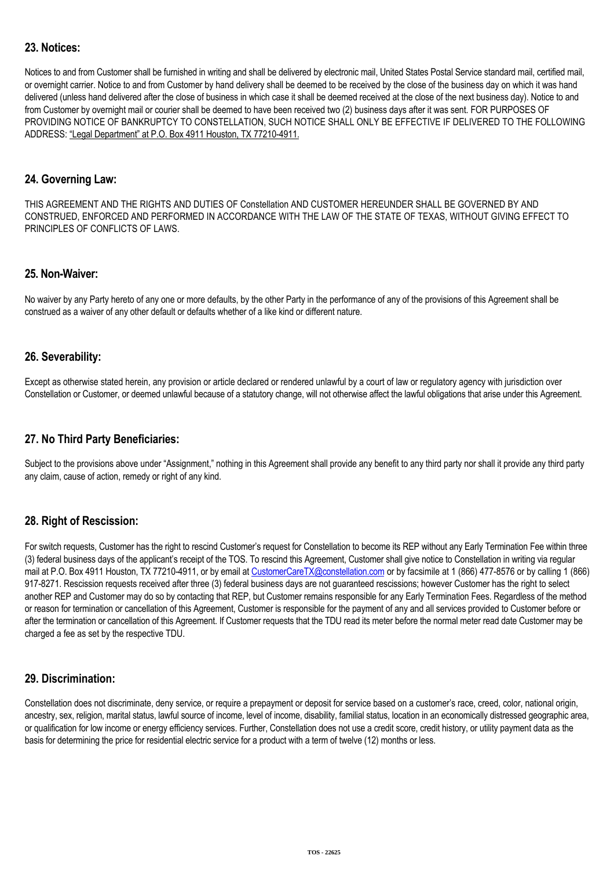## **23. Notices:**

Notices to and from Customer shall be furnished in writing and shall be delivered by electronic mail, United States Postal Service standard mail, certified mail, or overnight carrier. Notice to and from Customer by hand delivery shall be deemed to be received by the close of the business day on which it was hand delivered (unless hand delivered after the close of business in which case it shall be deemed received at the close of the next business day). Notice to and from Customer by overnight mail or courier shall be deemed to have been received two (2) business days after it was sent. FOR PURPOSES OF PROVIDING NOTICE OF BANKRUPTCY TO CONSTELLATION, SUCH NOTICE SHALL ONLY BE EFFECTIVE IF DELIVERED TO THE FOLLOWING ADDRESS: "Legal Department" at P.O. Box 4911 Houston, TX 77210-4911.

#### **24. Governing Law:**

THIS AGREEMENT AND THE RIGHTS AND DUTIES OF Constellation AND CUSTOMER HEREUNDER SHALL BE GOVERNED BY AND CONSTRUED, ENFORCED AND PERFORMED IN ACCORDANCE WITH THE LAW OF THE STATE OF TEXAS, WITHOUT GIVING EFFECT TO PRINCIPLES OF CONFLICTS OF LAWS.

#### **25. Non-Waiver:**

No waiver by any Party hereto of any one or more defaults, by the other Party in the performance of any of the provisions of this Agreement shall be construed as a waiver of any other default or defaults whether of a like kind or different nature.

### **26. Severability:**

Except as otherwise stated herein, any provision or article declared or rendered unlawful by a court of law or regulatory agency with jurisdiction over Constellation or Customer, or deemed unlawful because of a statutory change, will not otherwise affect the lawful obligations that arise under this Agreement.

### **27. No Third Party Beneficiaries:**

Subject to the provisions above under "Assignment," nothing in this Agreement shall provide any benefit to any third party nor shall it provide any third party any claim, cause of action, remedy or right of any kind.

### **28. Right of Rescission:**

For switch requests, Customer has the right to rescind Customer's request for Constellation to become its REP without any Early Termination Fee within three (3) federal business days of the applicant's receipt of the TOS. To rescind this Agreement, Customer shall give notice to Constellation in writing via regular mail at P.O. Box 4911 Houston, TX 77210-4911, or by email at [CustomerCareTX@constellation.com](mailto:CustomerCareTX@constellation.com) or by facsimile at 1 (866) 477-8576 or by calling 1 (866) 917-8271. Rescission requests received after three (3) federal business days are not guaranteed rescissions; however Customer has the right to select another REP and Customer may do so by contacting that REP, but Customer remains responsible for any Early Termination Fees. Regardless of the method or reason for termination or cancellation of this Agreement, Customer is responsible for the payment of any and all services provided to Customer before or after the termination or cancellation of this Agreement. If Customer requests that the TDU read its meter before the normal meter read date Customer may be charged a fee as set by the respective TDU.

### **29. Discrimination:**

Constellation does not discriminate, deny service, or require a prepayment or deposit for service based on a customer's race, creed, color, national origin, ancestry, sex, religion, marital status, lawful source of income, level of income, disability, familial status, location in an economically distressed geographic area, or qualification for low income or energy efficiency services. Further, Constellation does not use a credit score, credit history, or utility payment data as the basis for determining the price for residential electric service for a product with a term of twelve (12) months or less.